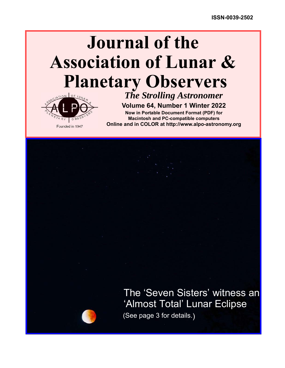## **Journal of the Association of Lunar & Planetary Observers**



*The Strolling Astronomer* **Volume 64, Number 1 Winter 2022**

**Now in Portable Document Format (PDF) for Macintosh and PC-compatible computers Online and in COLOR at http://www.alpo-astronomy.org**

> The 'Seven Sisters' witness an (See page 3 for details.) 'Almost Total' Lunar Eclipse